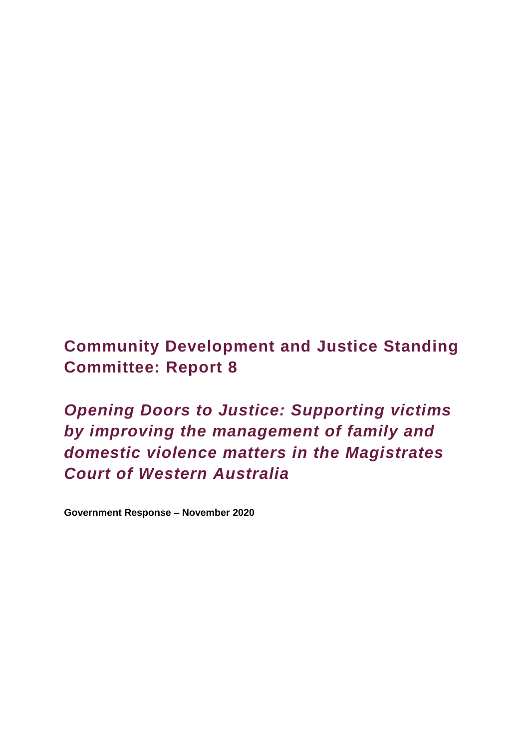**Community Development and Justice Standing Committee: Report 8** 

*Opening Doors to Justice: Supporting victims by improving the management of family and domestic violence matters in the Magistrates Court of Western Australia*

**Government Response – November 2020**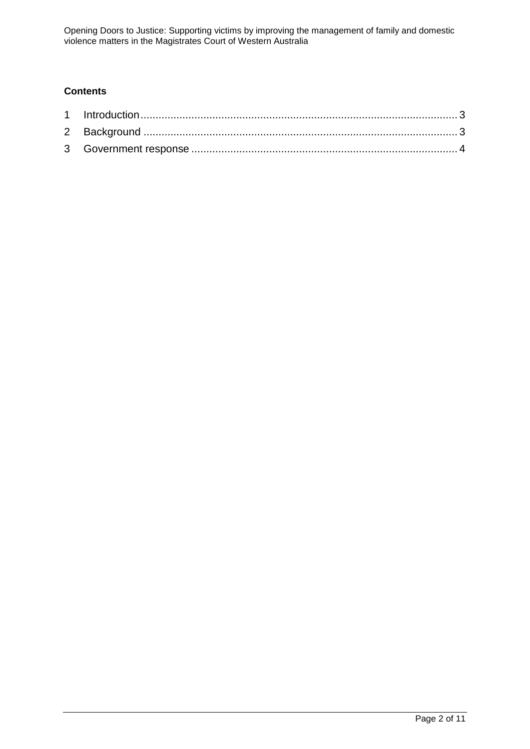# **Contents**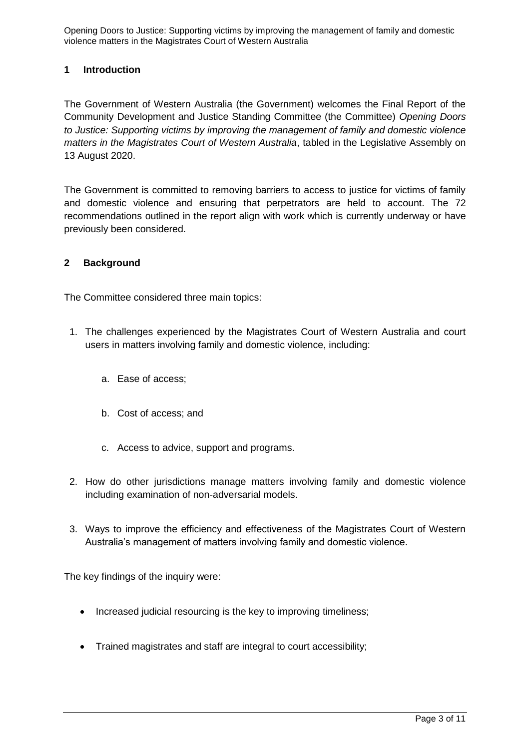### <span id="page-2-0"></span>**1 Introduction**

The Government of Western Australia (the Government) welcomes the Final Report of the Community Development and Justice Standing Committee (the Committee) *Opening Doors to Justice: Supporting victims by improving the management of family and domestic violence matters in the Magistrates Court of Western Australia*, tabled in the Legislative Assembly on 13 August 2020.

The Government is committed to removing barriers to access to justice for victims of family and domestic violence and ensuring that perpetrators are held to account. The 72 recommendations outlined in the report align with work which is currently underway or have previously been considered.

#### <span id="page-2-1"></span>**2 Background**

The Committee considered three main topics:

- 1. The challenges experienced by the Magistrates Court of Western Australia and court users in matters involving family and domestic violence, including:
	- a. Ease of access;
	- b. Cost of access; and
	- c. Access to advice, support and programs.
- 2. How do other jurisdictions manage matters involving family and domestic violence including examination of non-adversarial models.
- 3. Ways to improve the efficiency and effectiveness of the Magistrates Court of Western Australia's management of matters involving family and domestic violence.

The key findings of the inquiry were:

- Increased judicial resourcing is the key to improving timeliness;
- Trained magistrates and staff are integral to court accessibility;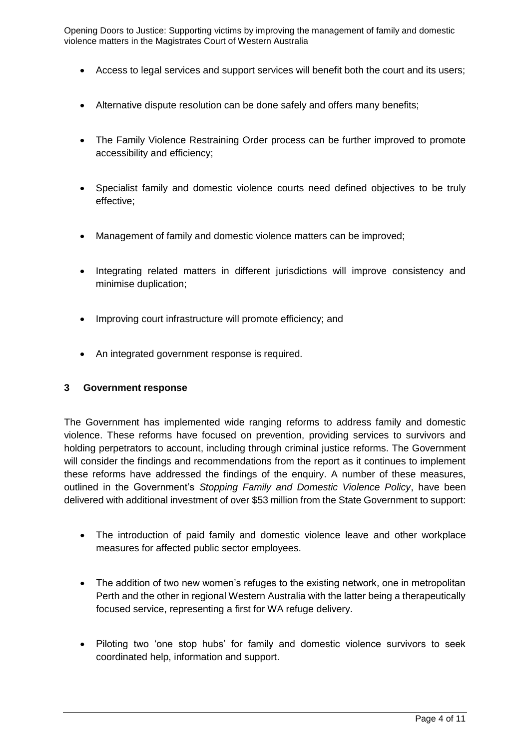- Access to legal services and support services will benefit both the court and its users;
- Alternative dispute resolution can be done safely and offers many benefits;
- The Family Violence Restraining Order process can be further improved to promote accessibility and efficiency;
- Specialist family and domestic violence courts need defined objectives to be truly effective;
- Management of family and domestic violence matters can be improved;
- Integrating related matters in different jurisdictions will improve consistency and minimise duplication;
- Improving court infrastructure will promote efficiency; and
- An integrated government response is required.

#### <span id="page-3-0"></span>**3 Government response**

The Government has implemented wide ranging reforms to address family and domestic violence. These reforms have focused on prevention, providing services to survivors and holding perpetrators to account, including through criminal justice reforms. The Government will consider the findings and recommendations from the report as it continues to implement these reforms have addressed the findings of the enquiry. A number of these measures, outlined in the Government's *Stopping Family and Domestic Violence Policy*, have been delivered with additional investment of over \$53 million from the State Government to support:

- The introduction of paid family and domestic violence leave and other workplace measures for affected public sector employees.
- The addition of two new women's refuges to the existing network, one in metropolitan Perth and the other in regional Western Australia with the latter being a therapeutically focused service, representing a first for WA refuge delivery.
- Piloting two 'one stop hubs' for family and domestic violence survivors to seek coordinated help, information and support.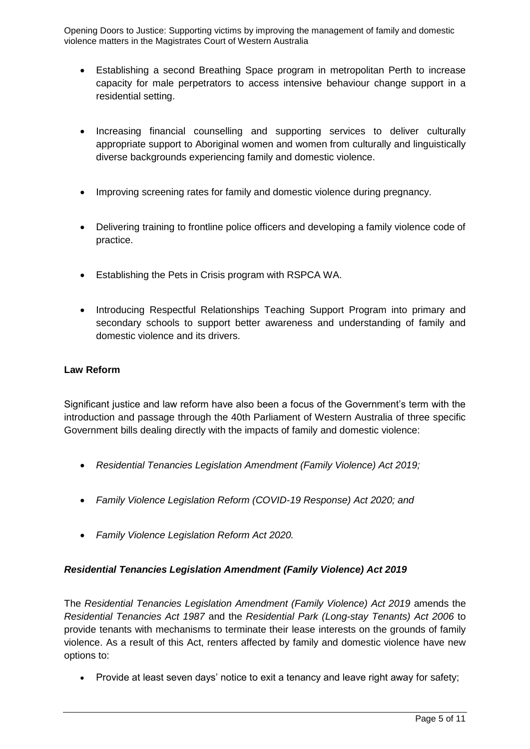- Establishing a second Breathing Space program in metropolitan Perth to increase capacity for male perpetrators to access intensive behaviour change support in a residential setting.
- Increasing financial counselling and supporting services to deliver culturally appropriate support to Aboriginal women and women from culturally and linguistically diverse backgrounds experiencing family and domestic violence.
- Improving screening rates for family and domestic violence during pregnancy.
- Delivering training to frontline police officers and developing a family violence code of practice.
- Establishing the Pets in Crisis program with RSPCA WA.
- Introducing Respectful Relationships Teaching Support Program into primary and secondary schools to support better awareness and understanding of family and domestic violence and its drivers.

### **Law Reform**

Significant justice and law reform have also been a focus of the Government's term with the introduction and passage through the 40th Parliament of Western Australia of three specific Government bills dealing directly with the impacts of family and domestic violence:

- *Residential Tenancies Legislation Amendment (Family Violence) Act 2019;*
- *Family Violence Legislation Reform (COVID-19 Response) Act 2020; and*
- *Family Violence Legislation Reform Act 2020.*

## *Residential Tenancies Legislation Amendment (Family Violence) Act 2019*

The *Residential Tenancies Legislation Amendment (Family Violence) Act 2019* amends the *Residential Tenancies Act 1987* and the *Residential Park (Long-stay Tenants) Act 2006* to provide tenants with mechanisms to terminate their lease interests on the grounds of family violence. As a result of this Act, renters affected by family and domestic violence have new options to:

• Provide at least seven days' notice to exit a tenancy and leave right away for safety;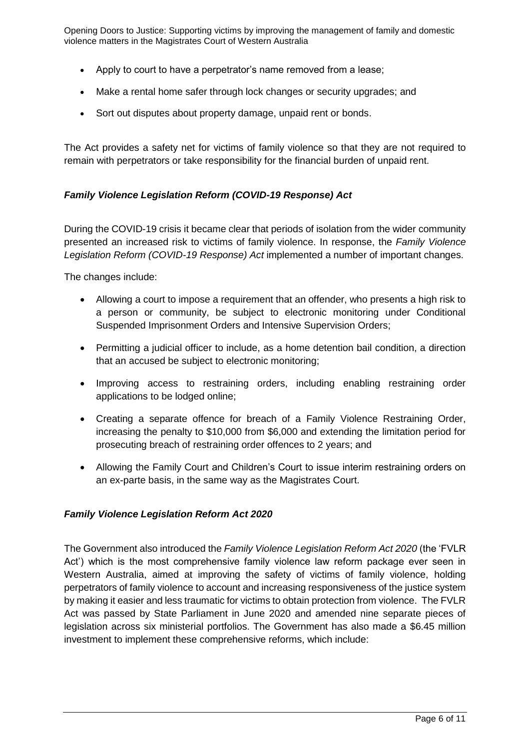- Apply to court to have a perpetrator's name removed from a lease;
- Make a rental home safer through lock changes or security upgrades; and
- Sort out disputes about property damage, unpaid rent or bonds.

The Act provides a safety net for victims of family violence so that they are not required to remain with perpetrators or take responsibility for the financial burden of unpaid rent.

### *Family Violence Legislation Reform (COVID-19 Response) Act*

During the COVID-19 crisis it became clear that periods of isolation from the wider community presented an increased risk to victims of family violence. In response, the *Family Violence Legislation Reform (COVID-19 Response) Act* implemented a number of important changes.

The changes include:

- Allowing a court to impose a requirement that an offender, who presents a high risk to a person or community, be subject to electronic monitoring under Conditional Suspended Imprisonment Orders and Intensive Supervision Orders;
- Permitting a judicial officer to include, as a home detention bail condition, a direction that an accused be subject to electronic monitoring;
- Improving access to restraining orders, including enabling restraining order applications to be lodged online;
- Creating a separate offence for breach of a Family Violence Restraining Order, increasing the penalty to \$10,000 from \$6,000 and extending the limitation period for prosecuting breach of restraining order offences to 2 years; and
- Allowing the Family Court and Children's Court to issue interim restraining orders on an ex-parte basis, in the same way as the Magistrates Court.

## *Family Violence Legislation Reform Act 2020*

The Government also introduced the *Family Violence Legislation Reform Act 2020* (the 'FVLR Act') which is the most comprehensive family violence law reform package ever seen in Western Australia, aimed at improving the safety of victims of family violence, holding perpetrators of family violence to account and increasing responsiveness of the justice system by making it easier and less traumatic for victims to obtain protection from violence. The FVLR Act was passed by State Parliament in June 2020 and amended nine separate pieces of legislation across six ministerial portfolios. The Government has also made a \$6.45 million investment to implement these comprehensive reforms, which include: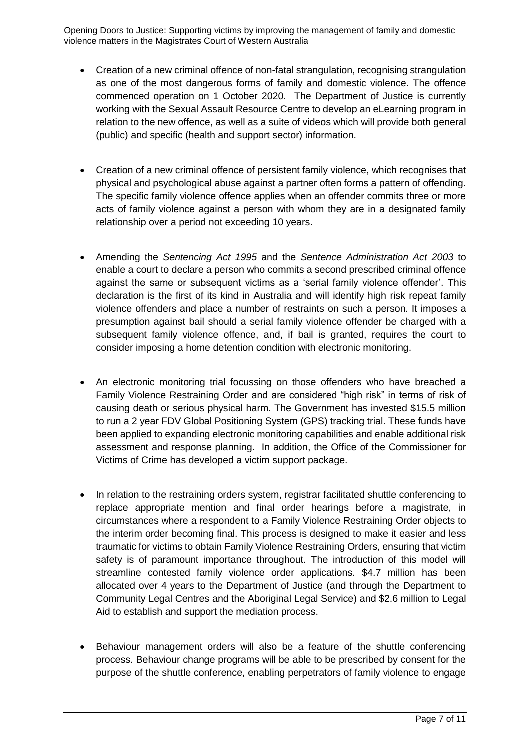- Creation of a new criminal offence of non-fatal strangulation, recognising strangulation as one of the most dangerous forms of family and domestic violence. The offence commenced operation on 1 October 2020. The Department of Justice is currently working with the Sexual Assault Resource Centre to develop an eLearning program in relation to the new offence, as well as a suite of videos which will provide both general (public) and specific (health and support sector) information.
- Creation of a new criminal offence of persistent family violence, which recognises that physical and psychological abuse against a partner often forms a pattern of offending. The specific family violence offence applies when an offender commits three or more acts of family violence against a person with whom they are in a designated family relationship over a period not exceeding 10 years.
- Amending the *Sentencing Act 1995* and the *Sentence Administration Act 2003* to enable a court to declare a person who commits a second prescribed criminal offence against the same or subsequent victims as a 'serial family violence offender'. This declaration is the first of its kind in Australia and will identify high risk repeat family violence offenders and place a number of restraints on such a person. It imposes a presumption against bail should a serial family violence offender be charged with a subsequent family violence offence, and, if bail is granted, requires the court to consider imposing a home detention condition with electronic monitoring.
- An electronic monitoring trial focussing on those offenders who have breached a Family Violence Restraining Order and are considered "high risk" in terms of risk of causing death or serious physical harm. The Government has invested \$15.5 million to run a 2 year FDV Global Positioning System (GPS) tracking trial. These funds have been applied to expanding electronic monitoring capabilities and enable additional risk assessment and response planning. In addition, the Office of the Commissioner for Victims of Crime has developed a victim support package.
- In relation to the restraining orders system, registrar facilitated shuttle conferencing to replace appropriate mention and final order hearings before a magistrate, in circumstances where a respondent to a Family Violence Restraining Order objects to the interim order becoming final. This process is designed to make it easier and less traumatic for victims to obtain Family Violence Restraining Orders, ensuring that victim safety is of paramount importance throughout. The introduction of this model will streamline contested family violence order applications. \$4.7 million has been allocated over 4 years to the Department of Justice (and through the Department to Community Legal Centres and the Aboriginal Legal Service) and \$2.6 million to Legal Aid to establish and support the mediation process.
- Behaviour management orders will also be a feature of the shuttle conferencing process. Behaviour change programs will be able to be prescribed by consent for the purpose of the shuttle conference, enabling perpetrators of family violence to engage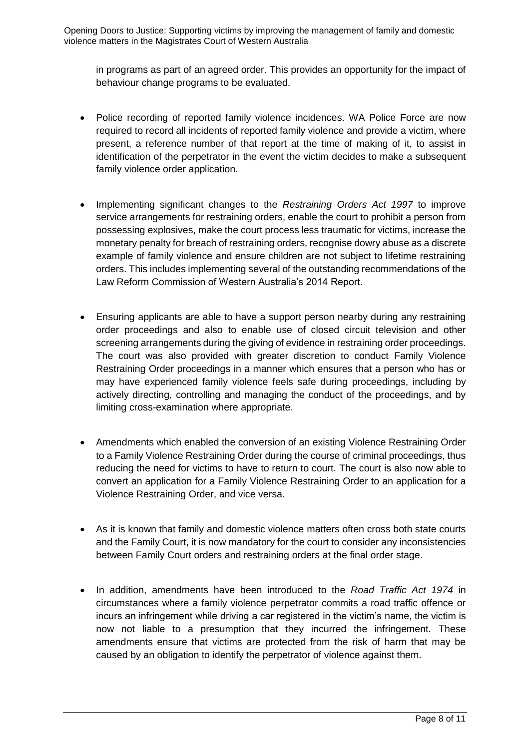in programs as part of an agreed order. This provides an opportunity for the impact of behaviour change programs to be evaluated.

- Police recording of reported family violence incidences. WA Police Force are now required to record all incidents of reported family violence and provide a victim, where present, a reference number of that report at the time of making of it, to assist in identification of the perpetrator in the event the victim decides to make a subsequent family violence order application.
- Implementing significant changes to the *Restraining Orders Act 1997* to improve service arrangements for restraining orders, enable the court to prohibit a person from possessing explosives, make the court process less traumatic for victims, increase the monetary penalty for breach of restraining orders, recognise dowry abuse as a discrete example of family violence and ensure children are not subject to lifetime restraining orders. This includes implementing several of the outstanding recommendations of the Law Reform Commission of Western Australia's 2014 Report.
- Ensuring applicants are able to have a support person nearby during any restraining order proceedings and also to enable use of closed circuit television and other screening arrangements during the giving of evidence in restraining order proceedings. The court was also provided with greater discretion to conduct Family Violence Restraining Order proceedings in a manner which ensures that a person who has or may have experienced family violence feels safe during proceedings, including by actively directing, controlling and managing the conduct of the proceedings, and by limiting cross-examination where appropriate.
- Amendments which enabled the conversion of an existing Violence Restraining Order to a Family Violence Restraining Order during the course of criminal proceedings, thus reducing the need for victims to have to return to court. The court is also now able to convert an application for a Family Violence Restraining Order to an application for a Violence Restraining Order, and vice versa.
- As it is known that family and domestic violence matters often cross both state courts and the Family Court, it is now mandatory for the court to consider any inconsistencies between Family Court orders and restraining orders at the final order stage.
- In addition, amendments have been introduced to the *Road Traffic Act 1974* in circumstances where a family violence perpetrator commits a road traffic offence or incurs an infringement while driving a car registered in the victim's name, the victim is now not liable to a presumption that they incurred the infringement. These amendments ensure that victims are protected from the risk of harm that may be caused by an obligation to identify the perpetrator of violence against them.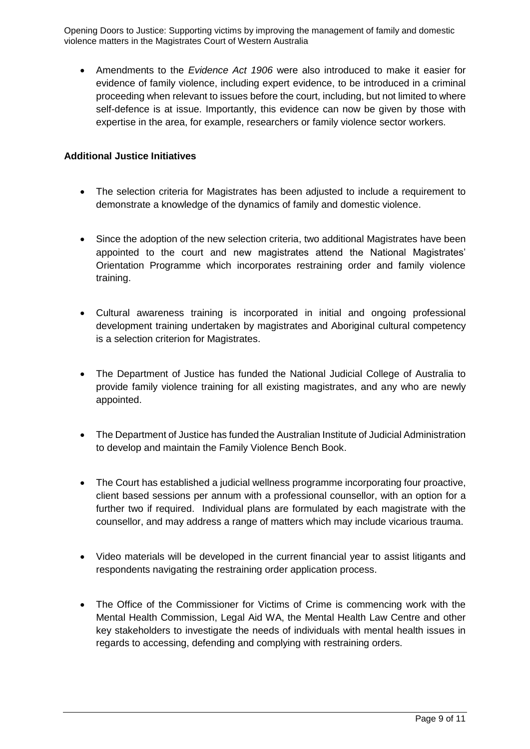Amendments to the *Evidence Act 1906* were also introduced to make it easier for evidence of family violence, including expert evidence, to be introduced in a criminal proceeding when relevant to issues before the court, including, but not limited to where self-defence is at issue. Importantly, this evidence can now be given by those with expertise in the area, for example, researchers or family violence sector workers.

### **Additional Justice Initiatives**

- The selection criteria for Magistrates has been adjusted to include a requirement to demonstrate a knowledge of the dynamics of family and domestic violence.
- Since the adoption of the new selection criteria, two additional Magistrates have been appointed to the court and new magistrates attend the National Magistrates' Orientation Programme which incorporates restraining order and family violence training.
- Cultural awareness training is incorporated in initial and ongoing professional development training undertaken by magistrates and Aboriginal cultural competency is a selection criterion for Magistrates.
- The Department of Justice has funded the National Judicial College of Australia to provide family violence training for all existing magistrates, and any who are newly appointed.
- The Department of Justice has funded the Australian Institute of Judicial Administration to develop and maintain the Family Violence Bench Book.
- The Court has established a judicial wellness programme incorporating four proactive, client based sessions per annum with a professional counsellor, with an option for a further two if required. Individual plans are formulated by each magistrate with the counsellor, and may address a range of matters which may include vicarious trauma.
- Video materials will be developed in the current financial year to assist litigants and respondents navigating the restraining order application process.
- The Office of the Commissioner for Victims of Crime is commencing work with the Mental Health Commission, Legal Aid WA, the Mental Health Law Centre and other key stakeholders to investigate the needs of individuals with mental health issues in regards to accessing, defending and complying with restraining orders.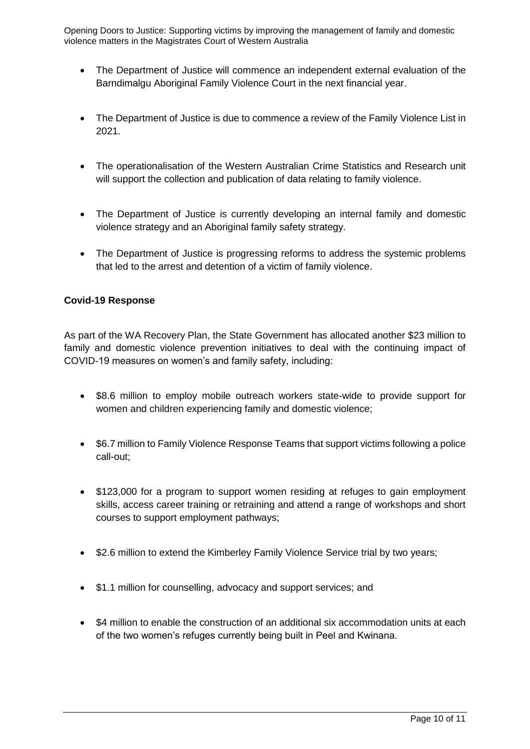- The Department of Justice will commence an independent external evaluation of the Barndimalgu Aboriginal Family Violence Court in the next financial year.
- The Department of Justice is due to commence a review of the Family Violence List in 2021.
- The operationalisation of the Western Australian Crime Statistics and Research unit will support the collection and publication of data relating to family violence.
- The Department of Justice is currently developing an internal family and domestic violence strategy and an Aboriginal family safety strategy.
- The Department of Justice is progressing reforms to address the systemic problems that led to the arrest and detention of a victim of family violence.

### **Covid-19 Response**

As part of the WA Recovery Plan, the State Government has allocated another \$23 million to family and domestic violence prevention initiatives to deal with the continuing impact of COVID-19 measures on women's and family safety, including:

- \$8.6 million to employ mobile outreach workers state-wide to provide support for women and children experiencing family and domestic violence;
- \$6.7 million to Family Violence Response Teams that support victims following a police call-out;
- \$123,000 for a program to support women residing at refuges to gain employment skills, access career training or retraining and attend a range of workshops and short courses to support employment pathways;
- \$2.6 million to extend the Kimberley Family Violence Service trial by two years;
- \$1.1 million for counselling, advocacy and support services; and
- \$4 million to enable the construction of an additional six accommodation units at each of the two women's refuges currently being built in Peel and Kwinana.